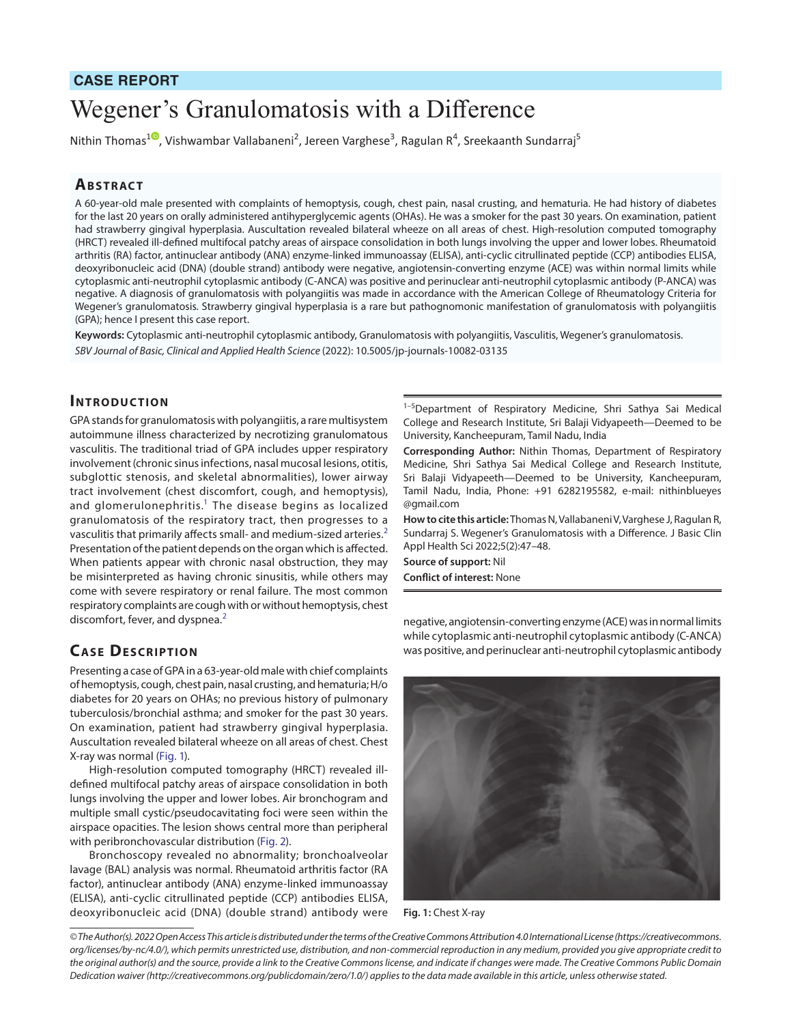# **CASE REPORT**

# Wegener's Granulomatosis with a Difference

Nithin Thomas<sup>[1](https://orcid.org/0000-0002-8347-9509)0</sup>, Vishwambar Vallabaneni<sup>2</sup>, Jereen Varghese<sup>3</sup>, Ragulan R<sup>4</sup>, Sreekaanth Sundarraj<sup>5</sup>

## **ABSTRACT**

A 60-year-old male presented with complaints of hemoptysis, cough, chest pain, nasal crusting, and hematuria. He had history of diabetes for the last 20 years on orally administered antihyperglycemic agents (OHAs). He was a smoker for the past 30 years. On examination, patient had strawberry gingival hyperplasia. Auscultation revealed bilateral wheeze on all areas of chest. High-resolution computed tomography (HRCT) revealed ill-defined multifocal patchy areas of airspace consolidation in both lungs involving the upper and lower lobes. Rheumatoid arthritis (RA) factor, antinuclear antibody (ANA) enzyme-linked immunoassay (ELISA), anti-cyclic citrullinated peptide (CCP) antibodies ELISA, deoxyribonucleic acid (DNA) (double strand) antibody were negative, angiotensin-converting enzyme (ACE) was within normal limits while cytoplasmic anti-neutrophil cytoplasmic antibody (C-ANCA) was positive and perinuclear anti-neutrophil cytoplasmic antibody (P-ANCA) was negative. A diagnosis of granulomatosis with polyangiitis was made in accordance with the American College of Rheumatology Criteria for Wegener's granulomatosis. Strawberry gingival hyperplasia is a rare but pathognomonic manifestation of granulomatosis with polyangiitis (GPA); hence I present this case report.

**Keywords:** Cytoplasmic anti-neutrophil cytoplasmic antibody, Granulomatosis with polyangiitis, Vasculitis, Wegener's granulomatosis. *SBV Journal of Basic, Clinical and Applied Health Science* (2022): 10.5005/jp-journals-10082-03135

#### **INTRODUCTION**

GPA stands for granulomatosis with polyangiitis, a rare multisystem autoimmune illness characterized by necrotizing granulomatous vasculitis. The traditional triad of GPA includes upper respiratory involvement (chronic sinus infections, nasal mucosal lesions, otitis, subglottic stenosis, and skeletal abnormalities), lower airway tract involvement (chest discomfort, cough, and hemoptysis), and glomerulonephritis.<sup>1</sup> The disease begins as localized granulomatosis of the respiratory tract, then progresses to a vasculitis that primarily affects small- and medium-sized arteries.<sup>[2](#page-1-1)</sup> Presentation of the patient depends on the organ which is affected. When patients appear with chronic nasal obstruction, they may be misinterpreted as having chronic sinusitis, while others may come with severe respiratory or renal failure. The most common respiratory complaints are cough with or without hemoptysis, chest discomfort, fever, and dyspnea.<sup>[2](#page-1-1)</sup>

### **CASE DESCRIPTION**

Presenting a case of GPA in a 63-year-old male with chief complaints of hemoptysis, cough, chest pain, nasal crusting, and hematuria; H/o diabetes for 20 years on OHAs; no previous history of pulmonary tuberculosis/bronchial asthma; and smoker for the past 30 years. On examination, patient had strawberry gingival hyperplasia. Auscultation revealed bilateral wheeze on all areas of chest. Chest X-ray was normal [\(Fig. 1\)](#page-0-0).

High-resolution computed tomography (HRCT) revealed illdefined multifocal patchy areas of airspace consolidation in both lungs involving the upper and lower lobes. Air bronchogram and multiple small cystic/pseudocavitating foci were seen within the airspace opacities. The lesion shows central more than peripheral with peribronchovascular distribution [\(Fig. 2\)](#page-1-2).

Bronchoscopy revealed no abnormality; bronchoalveolar lavage (BAL) analysis was normal. Rheumatoid arthritis factor (RA factor), antinuclear antibody (ANA) enzyme-linked immunoassay (ELISA), anti-cyclic citrullinated peptide (CCP) antibodies ELISA, deoxyribonucleic acid (DNA) (double strand) antibody were

<sup>1-5</sup>Department of Respiratory Medicine, Shri Sathya Sai Medical College and Research Institute, Sri Balaji Vidyapeeth—Deemed to be University, Kancheepuram, Tamil Nadu, India

**Corresponding Author:** Nithin Thomas, Department of Respiratory Medicine, Shri Sathya Sai Medical College and Research Institute, Sri Balaji Vidyapeeth—Deemed to be University, Kancheepuram, Tamil Nadu, India, Phone: +91 6282195582, e-mail: nithinblueyes @gmail.com

**How to cite this article:** Thomas N, Vallabaneni V, Varghese J, Ragulan R, Sundarraj S. Wegener's Granulomatosis with a Difference. J Basic Clin Appl Health Sci 2022;5(2):47–48.

**Source of support:** Nil **Conflict of interest:** None

negative, angiotensin-converting enzyme (ACE) was in normal limits while cytoplasmic anti-neutrophil cytoplasmic antibody (C-ANCA) was positive, and perinuclear anti-neutrophil cytoplasmic antibody

<span id="page-0-0"></span>

**Fig. 1:** Chest X-ray

*<sup>©</sup> The Author(s). 2022 Open Access This article is distributed under the terms of the Creative Commons Attribution 4.0 International License ([https://creativecommons.](https://creativecommons.org/licenses/by-nc/4.0/) [org/licenses/by-nc/4.0/](https://creativecommons.org/licenses/by-nc/4.0/)), which permits unrestricted use, distribution, and non-commercial reproduction in any medium, provided you give appropriate credit to the original author(s) and the source, provide a link to the Creative Commons license, and indicate if changes were made. The Creative Commons Public Domain Dedication waiver ([http://creativecommons.org/publicdomain/zero/1.0/\)](http://creativecommons.org/publicdomain/zero/1.0/) applies to the data made available in this article, unless otherwise stated.*